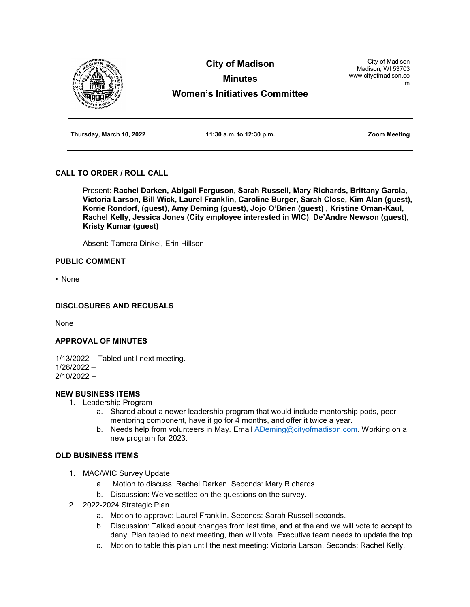

**Thursday, March 10, 2022 11:30 a.m. to 12:30 p.m. Zoom Meeting**

# **CALL TO ORDER / ROLL CALL**

Present: **Rachel Darken, Abigail Ferguson, Sarah Russell, Mary Richards, Brittany Garcia, Victoria Larson, Bill Wick, Laurel Franklin, Caroline Burger, Sarah Close, Kim Alan (guest), Korrie Rondorf, (guest)**, **Amy Deming (guest), Jojo O'Brien (guest) , Kristine Oman-Kaul, Rachel Kelly, Jessica Jones (City employee interested in WIC)**, **De'Andre Newson (guest), Kristy Kumar (guest)**

Absent: Tamera Dinkel, Erin Hillson

## **PUBLIC COMMENT**

• None

## **DISCLOSURES AND RECUSALS**

None

### **APPROVAL OF MINUTES**

1/13/2022 – Tabled until next meeting.

1/26/2022 – 2/10/2022 --

# **NEW BUSINESS ITEMS**

- 1. Leadership Program
	- a. Shared about a newer leadership program that would include mentorship pods, peer mentoring component, have it go for 4 months, and offer it twice a year.
	- b. Needs help from volunteers in May. Email [ADeming@cityofmadison.com.](mailto:ADeming@cityofmadison.com) Working on a new program for 2023.

#### **OLD BUSINESS ITEMS**

- 1. MAC/WIC Survey Update
	- a. Motion to discuss: Rachel Darken. Seconds: Mary Richards.
	- b. Discussion: We've settled on the questions on the survey.
- 2. 2022-2024 Strategic Plan
	- a. Motion to approve: Laurel Franklin. Seconds: Sarah Russell seconds.
	- b. Discussion: Talked about changes from last time, and at the end we will vote to accept to deny. Plan tabled to next meeting, then will vote. Executive team needs to update the top
	- c. Motion to table this plan until the next meeting: Victoria Larson. Seconds: Rachel Kelly.